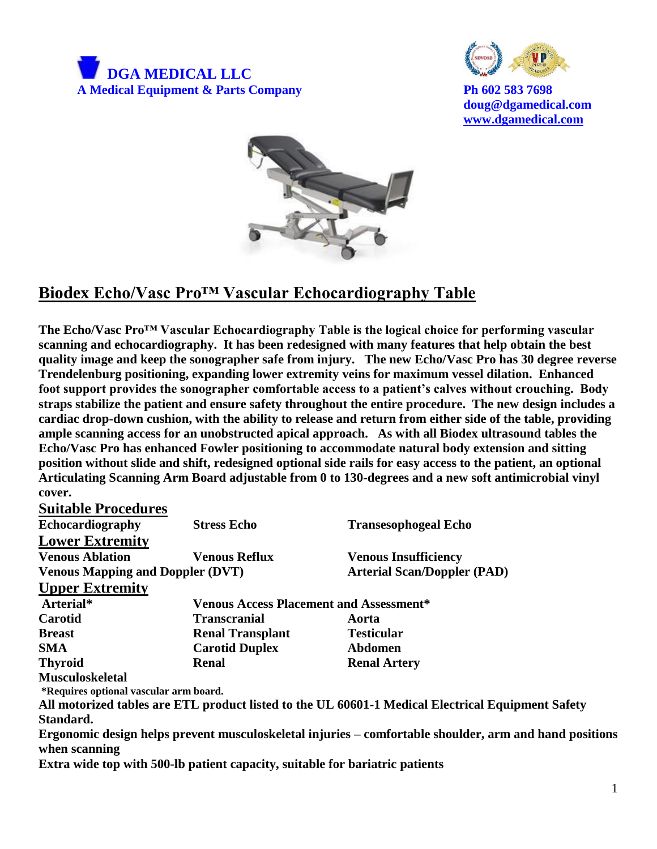



**doug@dgamedical.com [www.dgamedical.com](http://www.dgamedical.com/)**



## **Biodex Echo/Vasc Pro™ Vascular Echocardiography Table**

**The Echo/Vasc Pro™ Vascular Echocardiography Table is the logical choice for performing vascular scanning and echocardiography. It has been redesigned with many features that help obtain the best quality image and keep the sonographer safe from injury. The new Echo/Vasc Pro has 30 degree reverse Trendelenburg positioning, expanding lower extremity veins for maximum vessel dilation. Enhanced foot support provides the sonographer comfortable access to a patient's calves without crouching. Body straps stabilize the patient and ensure safety throughout the entire procedure. The new design includes a cardiac drop-down cushion, with the ability to release and return from either side of the table, providing ample scanning access for an unobstructed apical approach. As with all Biodex ultrasound tables the Echo/Vasc Pro has enhanced Fowler positioning to accommodate natural body extension and sitting position without slide and shift, redesigned optional side rails for easy access to the patient, an optional Articulating Scanning Arm Board adjustable from 0 to 130-degrees and a new soft antimicrobial vinyl cover.** 

| <b>Suitable Procedures</b>              |                                                |                                                                                                        |
|-----------------------------------------|------------------------------------------------|--------------------------------------------------------------------------------------------------------|
| Echocardiography                        | <b>Stress Echo</b>                             | <b>Transesophogeal Echo</b>                                                                            |
| <b>Lower Extremity</b>                  |                                                |                                                                                                        |
| <b>Venous Ablation</b>                  | <b>Venous Reflux</b>                           | <b>Venous Insufficiency</b>                                                                            |
| <b>Venous Mapping and Doppler (DVT)</b> |                                                | <b>Arterial Scan/Doppler (PAD)</b>                                                                     |
| <b>Upper Extremity</b>                  |                                                |                                                                                                        |
| Arterial*                               | <b>Venous Access Placement and Assessment*</b> |                                                                                                        |
| Carotid                                 | <b>Transcranial</b>                            | Aorta                                                                                                  |
| <b>Breast</b>                           | <b>Renal Transplant</b>                        | <b>Testicular</b>                                                                                      |
| <b>SMA</b>                              | <b>Carotid Duplex</b>                          | <b>Abdomen</b>                                                                                         |
| <b>Thyroid</b>                          | <b>Renal</b>                                   | <b>Renal Artery</b>                                                                                    |
| <b>Musculoskeletal</b>                  |                                                |                                                                                                        |
| *Requires optional vascular arm board.  |                                                |                                                                                                        |
|                                         |                                                | All motorized tables are ETL product listed to the UL 60601-1 Medical Electrical Equipment Safety      |
| Standard.                               |                                                |                                                                                                        |
|                                         |                                                | Ergonomic design helps prevent musculoskeletal injuries – comfortable shoulder, arm and hand positions |

**when scanning**

**Extra wide top with 500-lb patient capacity, suitable for bariatric patients**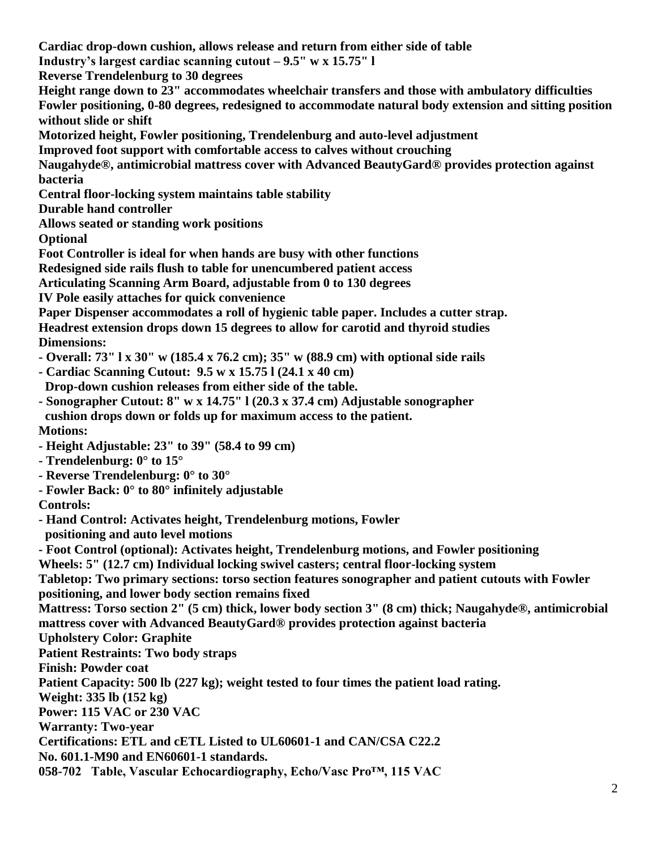**Cardiac drop-down cushion, allows release and return from either side of table Industry's largest cardiac scanning cutout – 9.5" w x 15.75" l Reverse Trendelenburg to 30 degrees Height range down to 23" accommodates wheelchair transfers and those with ambulatory difficulties Fowler positioning, 0-80 degrees, redesigned to accommodate natural body extension and sitting position without slide or shift Motorized height, Fowler positioning, Trendelenburg and auto-level adjustment Improved foot support with comfortable access to calves without crouching Naugahyde®, antimicrobial mattress cover with Advanced BeautyGard® provides protection against bacteria Central floor-locking system maintains table stability Durable hand controller Allows seated or standing work positions Optional Foot Controller is ideal for when hands are busy with other functions Redesigned side rails flush to table for unencumbered patient access Articulating Scanning Arm Board, adjustable from 0 to 130 degrees IV Pole easily attaches for quick convenience Paper Dispenser accommodates a roll of hygienic table paper. Includes a cutter strap. Headrest extension drops down 15 degrees to allow for carotid and thyroid studies Dimensions: - Overall: 73" l x 30" w (185.4 x 76.2 cm); 35" w (88.9 cm) with optional side rails - Cardiac Scanning Cutout: 9.5 w x 15.75 l (24.1 x 40 cm) Drop-down cushion releases from either side of the table. - Sonographer Cutout: 8" w x 14.75" l (20.3 x 37.4 cm) Adjustable sonographer cushion drops down or folds up for maximum access to the patient. Motions: - Height Adjustable: 23" to 39" (58.4 to 99 cm) - Trendelenburg: 0° to 15° - Reverse Trendelenburg: 0° to 30° - Fowler Back: 0° to 80° infinitely adjustable Controls: - Hand Control: Activates height, Trendelenburg motions, Fowler positioning and auto level motions - Foot Control (optional): Activates height, Trendelenburg motions, and Fowler positioning Wheels: 5" (12.7 cm) Individual locking swivel casters; central floor-locking system Tabletop: Two primary sections: torso section features sonographer and patient cutouts with Fowler positioning, and lower body section remains fixed Mattress: Torso section 2" (5 cm) thick, lower body section 3" (8 cm) thick; Naugahyde®, antimicrobial mattress cover with Advanced BeautyGard® provides protection against bacteria Upholstery Color: Graphite Patient Restraints: Two body straps Finish: Powder coat Patient Capacity: 500 lb (227 kg); weight tested to four times the patient load rating. Weight: 335 lb (152 kg) Power: 115 VAC or 230 VAC Warranty: Two-year Certifications: ETL and cETL Listed to UL60601-1 and CAN/CSA C22.2 No. 601.1-M90 and EN60601-1 standards. 058-702 Table, Vascular Echocardiography, Echo/Vasc Pro™, 115 VAC**